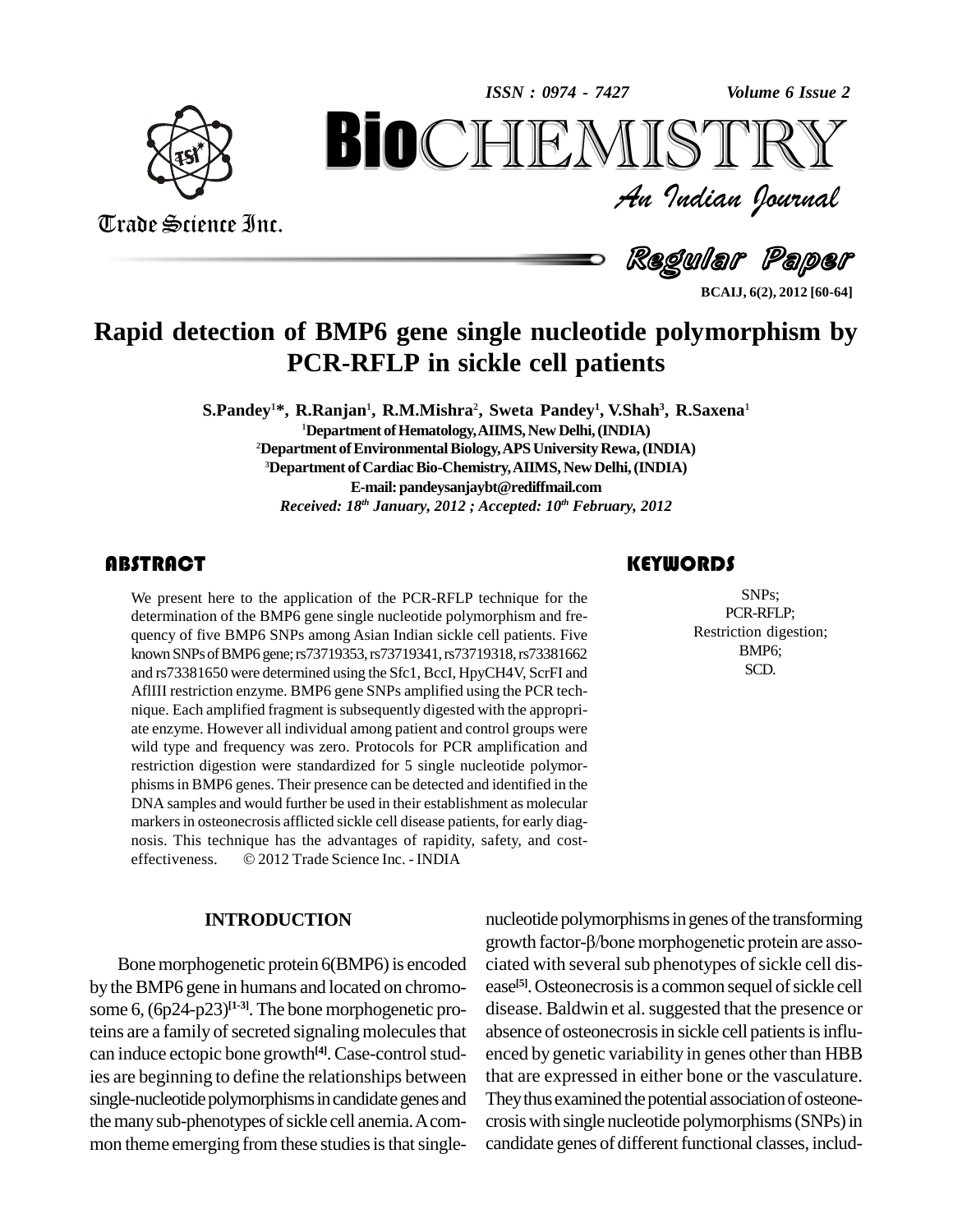*Volume 6 Issue 2*



Trade Science Inc.

Trade Science Inc.

An Indian Journal<br>Regul**ar Pa**per *Volume* 6 Issue 2<br> $\begin{array}{c} \text{Volume of } \text{I} \\ \text{S} \\ \text{J} \\ \text{J} \end{array}$ **BioCHEMISTRY**<br>Au Indian Journal<br>Regular Paper<br>BMP6 gene single nucleotide polymorphism by<br>R-RFLP in sickle cell patients

#### **BCAIJ, 6(2), 2012 [60-64]**

### **Rapid detection of BMP6 gene single nucleotide polymorphism by PCR-RFLP in sickle cell patients**

**S.Pandey <sup>1</sup>\*, R.Ranjan 1 , R.M.Mishra 2 , Sweta Pandey 1 , V.Shah 3 , R.Saxena 1** <sup>1</sup>Department of Hematology, AIIMS, New Delhi, (INDIA) <sup>2</sup>**Department of Environmental Biology, APS University Rewa, (INDIA) <sup>3</sup>Department ofCardiacBio-Chemistry,AIIMS, New Delhi,(INDIA) E-mail:[pandeysanjaybt@rediffmail.com](mailto:pandeysanjaybt@rediffmail.com)** *Received: 18 th January, 2012 ; Accepted: 10 th February, 2012*

We present here to the a<br>determination of the BMI<br>quency of five BMP6 SN We present here to the application of the PCR-RFLP technique for the determination of the BMP6 gene single nucleotide polymorphism and fre quency of five BMP6 SNPs among Asian Indian sickle cell patients. Five knownSNPsofBMP6 gene;rs73719353,rs73719341,rs73719318,rs73381662 and rs73381650 were determined using the Sfc1, BccI, HpyCH4V, ScrFI and AflIII restriction enzyme. BMP6 gene SNPs amplified using the PCR tech nique. Each amplified fragment issubsequently digested with the appropri ate enzyme. However all individual among patient and control groups were wild type and frequency was zero. Protocols for PCR amplification and restriction digestion were standardized for 5 single nucleotide polymor phismsin BMP6 genes. Their presence can be detected and identified in the DNA samples and would further be used in their establishment as molecular markers in osteonecrosis afflicted sickle cell disease patients, for early diag-<br>nosis. This technique has the advantages of rapidity, safety, and cost-<br>effectiveness. © 2012 Trade Science Inc. - INDIA nosis. This technique has the advantages of rapidity, safety, and cost-

#### **INTRODUCTION**

Bone morphogenetic protein 6(BMP6) is encoded by the BMP6 gene in humans and located on chromosome 6,  $(6p24-p23)^{[1\cdot3]}$ . The bone morphogenetic pro- d teins are a family of secreted signaling molecules that can induce ectopic bone growth<sup>[4]</sup>. Case-control studies are beginning to define the relationships between single-nucleotide polymorphisms in candidate genes and the many sub-phenotypes of sickle cell anemia. A common theme emerging from these studies is that single-

### **KEYWORDS**

SNPs;<br>
PCR-RFLP;<br>
Restriction digestion; SNPs; PCR-RFLP; BMP6; SCD.

nucleotide polymorphisms in genes of the transforming growth factor-β/bone morphogenetic protein are associated with several sub phenotypes of sickle cell disease<sup>[5]</sup>. Osteonecrosis is a common sequel of sickle cell disease. Baldwin et al. suggested that the presence or absence of osteonecrosis in sickle cell patients is influenced by genetic variability in genes other than HBB that are expressed in either bone or the vasculature. They thus examined the potential association of osteonecrosiswith single nucleotide polymorphisms(SNPs)in candidate genes of different functional classes, includ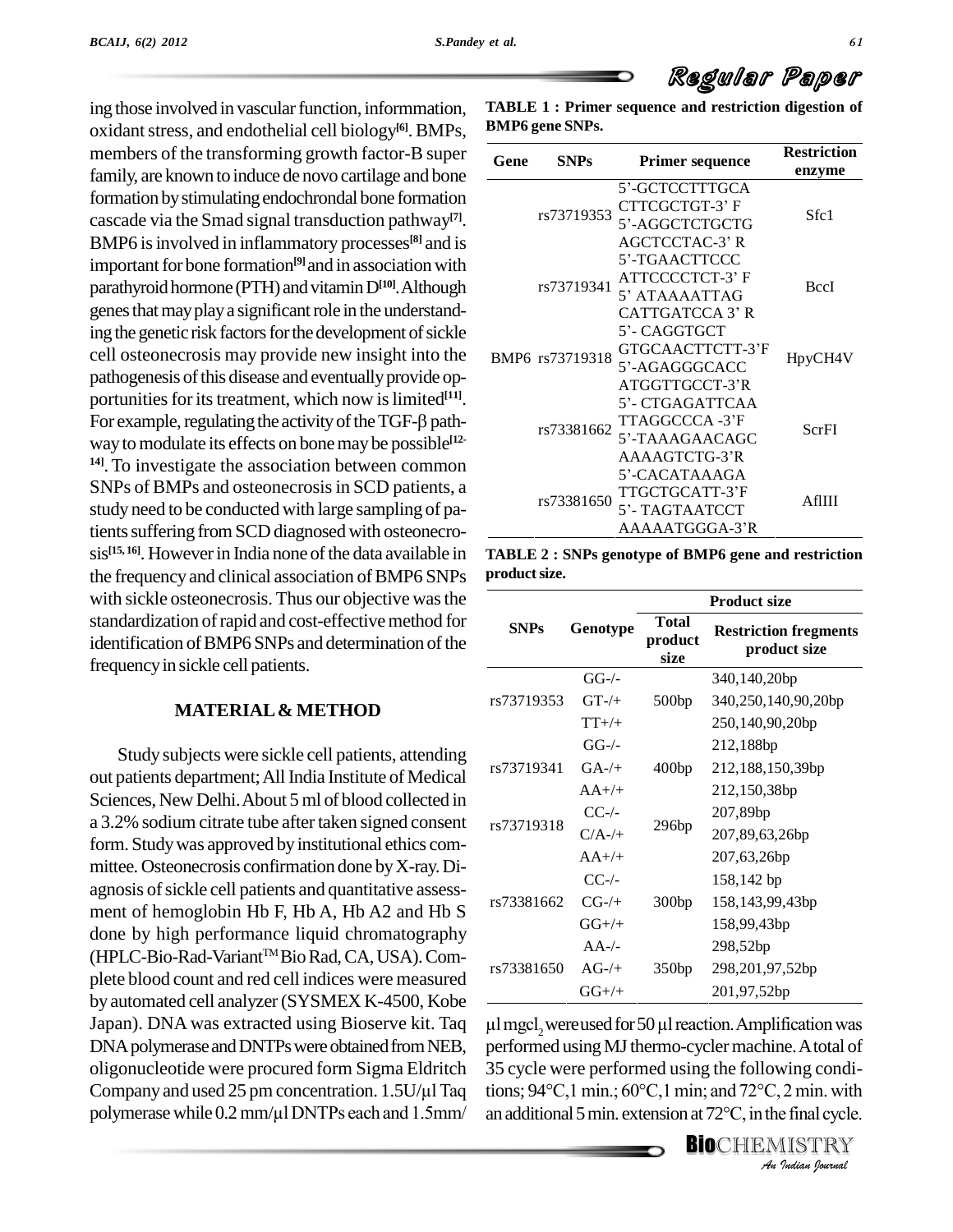ing those involved in vascular function, informmation, oxidant stress, and endothelial cell biology<sup>[6]</sup>. BMPs, <sup>BI</sup> members of the transforming growth factor-B super family, are known to induce de novo cartilage and bone formation bystimulatingendochrondal bone formation cascade via the Smad signal transduction pathway **[7]**. BMP6 is involved in inflammatory processes<sup>[8]</sup> and is important for bone formation<sup>[9]</sup> and in association with parathyroid hormone (PTH) and vitamin  $D^{[10]}$ . Although genes that may play a significant role in the understanding the genetic risk factors for the development of sickle cell osteonecrosis may provide new insight into the pathogenesis of this disease and eventually provide op-<br>portunities for its treatment, which now is limited<sup>[11]</sup>.<br>For example, regulating the activity of the TGF-β pathportunities for its treatment, which now is limited<sup>[11]</sup>. way to modulate its effects on bone may be possible<sup>[12-</sup> **14]**.To investigate the association between common SNPs of BMPs and osteonecrosis in SCD patients, a study need to be conducted with large sampling of patients suffering from SCD diagnosed with osteonecrosis<sup>[15, 16]</sup>. However in India none of the data available in TABLE the frequency and clinical association of BMP6 SNPs with sickle osteonecrosis. Thus our objective wasthe standardization of rapid and cost-effective method for identification of BMP6 SNPs and determination of the frequency in sickle cell patients.

#### **MATERIAL& METHOD**

Study subjects were sickle cell patients, attending out patients department; All India Institute of Medical Sciences, New Delhi. About 5 ml of blood collected in a 3.2% sodium citrate tube after taken signed consent form. Study was approved by institutional ethics committee. Osteonecrosis confirmation done byX-ray.Di agnosis of sickle cell patients and quantitative assessment of hemoglobin Hb F, Hb A, Hb A2 and Hb S done by high performance liquid chromatography (HPLC-Bio-Rad-VariantTM BioRad,CA,USA).Com plete blood count and red cell indices were measured by automated cell analyzer(SYSMEX K-4500, Kobe Japan). DNA was extracted using Bioserve kit. Taq DNA polymerase and DNTPs were obtained from NEB, perform<br>oligonucleotide were procured form Sigma Eldritch 35 cycl<br>Company and used 25 pm concentration. 1.5U/µl Taq tions; 9 oligonucleotide were procured form Sigma Eldritch 35 cycl<br>Company and used 25 pm concentration. 1.5U/µl Taq tions; 9<br>polymerase while 0.2 mm/µl DNTPs each and 1.5mm/ an addi

**TABLE 1 : Primer sequence and restriction digestion of BMP6 gene SNPs.**

Regular Paper

| Gene | <b>SNPs</b>     | <b>Primer sequence</b> | <b>Restriction</b><br>enzyme |
|------|-----------------|------------------------|------------------------------|
|      |                 | 5'-GCTCCTTTGCA         | Sfc1                         |
|      | rs73719353      | CTTCGCTGT-3' F         |                              |
|      |                 | 5'-AGGCTCTGCTG         |                              |
|      |                 | AGCTCCTAC-3' R         |                              |
|      | rs73719341      | 5'-TGAACTTCCC          |                              |
|      |                 | ATTCCCCTCT-3' F        | <b>BccI</b>                  |
|      |                 | 5' ATAAAATTAG          |                              |
|      |                 | CATTGATCCA 3' R        |                              |
|      | BMP6 rs73719318 | 5'- CAGGTGCT           | HpyCH4V                      |
|      |                 | GTGCAACTTCTT-3'F       |                              |
|      |                 | 5'-AGAGGGCACC          |                              |
|      |                 | ATGGTTGCCT-3'R         |                              |
|      | rs73381662      | 5'- CTGAGATTCAA        |                              |
|      |                 | TTAGGCCCA -3'F         | ScrFI                        |
|      |                 | 5'-TAAAGAACAGC         |                              |
|      |                 | AAAAGTCTG-3'R          |                              |
|      | rs73381650      | 5'-CACATAAAGA          |                              |
|      |                 | TTGCTGCATT-3'F         | AfIIII                       |
|      |                 | 5'- TAGTAATCCT         |                              |
|      |                 | AAAAATGGGA-3'R         |                              |

**TABLE 2 : SNPs genotype of BMP6 gene and restriction productsize.**

|             |           | <b>Product size</b>             |                                              |
|-------------|-----------|---------------------------------|----------------------------------------------|
| <b>SNPs</b> | Genotype  | <b>Total</b><br>product<br>size | <b>Restriction fregments</b><br>product size |
|             | $GG$ -/-  |                                 | 340,140,20bp                                 |
| rs73719353  | $GT-/-$   | 500bp                           | 340,250,140,90,20bp                          |
|             | $TT+/+$   |                                 | 250,140,90,20bp                              |
|             | $GG-/-$   |                                 | 212,188bp                                    |
| rs73719341  | $GA-/-$   | 400bp                           | 212,188,150,39bp                             |
|             | $AA+/+$   |                                 | 212,150,38bp                                 |
|             | $CC$ -/-  |                                 | 207,89bp                                     |
| rs73719318  | $C/A$ -/+ | 296bp                           | 207,89,63,26bp                               |
|             | $AA+/+$   |                                 | 207,63,26bp                                  |
|             | $CC$ -/-  |                                 | 158,142 bp                                   |
| rs73381662  | $CG-/+$   | 300bp                           | 158,143,99,43bp                              |
|             | $GG+/+$   |                                 | 158,99,43bp                                  |
|             | $AA$ -/-  |                                 | 298,52bp                                     |
| rs73381650  | $AG-/-$   | 350bp                           | 298,201,97,52bp                              |
|             | $GG+/+$   |                                 | 201,97,52bp                                  |

performed using MJ thermo-cycler machine. A total of<br>
35 cycle were performed using the following condi-<br>
tions; 94°C,1 min.; 60°C,1 min; and 72°C, 2 min. with<br>
an additional 5 min. extension at 72°C, in the final cycle.<br> 35 cycle were performed using the following conditions;  $94^{\circ}C$ , 1 min.;  $60^{\circ}C$ , 1 min.; and  $72^{\circ}C$ , 2 min. with an additional 5 min. extension at  $72^{\circ}C$ , in the final cycle.

**BIO**CHEMISTRY<br>An Indian Journal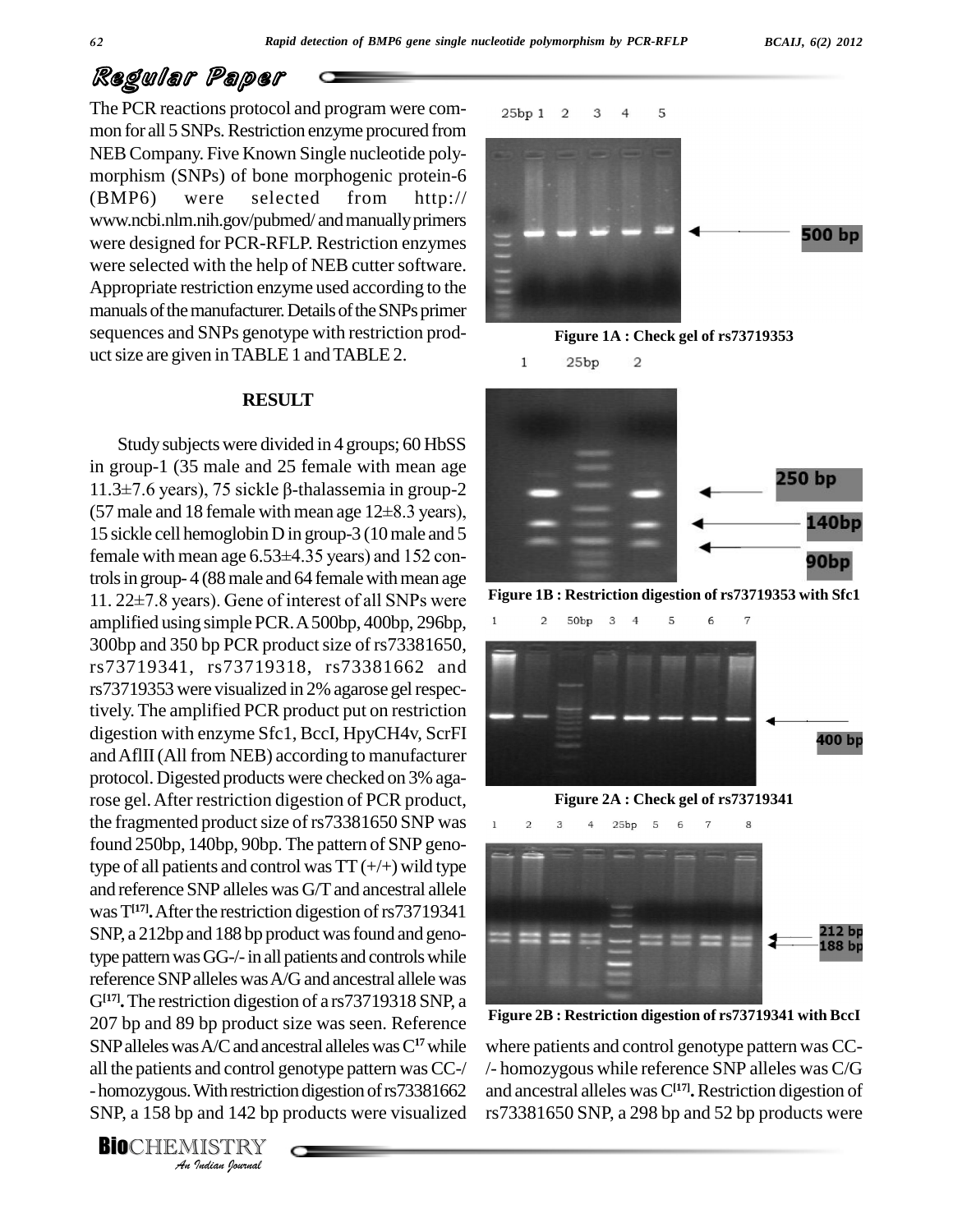## Regular Paper

The PCR reactions protocol and program were com-<br>25bp 1 mon for all 5 SNPs. Restriction enzyme procured from NEB Company. Five Known Single nucleotide polymorphism (SNPs) of bone morphogenic protein-6 (BMP6) were selected from <http://> [www.ncbi.nlm.nih.gov/pubmed/](http://www.ncbi.nlm.nih.gov/pubmed/) and manually primers were designed for PCR-RFLP. Restriction enzymes were selected with the help of NEB cutter software. Appropriate restriction enzyme used according to the manuals of the manufacturer. Details of the SNPs primer sequences and SNPs genotype with restriction prod uct size are given in TABLE 1 and TABLE 2.

#### **RESULT**

207 bp and 89 bp product size was seen. Reference right *I*s A/C and and<br>and control g<br>With restrictional<br>and 142 bp J<br>*IISTRY* Study subjects were divided in 4 groups; 60 HbSS in group-1 (35 male and 25 female with mean age Study subjects were divided in 4 groups; 60 HbSS<br>in group-1 (35 male and 25 female with mean age<br> $11.3\pm7.6$  years), 75 sickle  $\beta$ -thalassemia in group-2 in group-1 (35 male and 25 female with mean age 11.3 $\pm$ 7.6 years), 75 sickle β-thalassemia in group-2 (57 male and 18 female with mean age 12 $\pm$ 8.3 years), 15 sickle cell hemoglobin D in group-3 (10 male and 5 (57 male and 18 female with mean age  $12\pm8.3$  years),<br>15 sickle cell hemoglobin D in group-3 (10 male and 5<br>female with mean age  $6.53\pm4.35$  years) and 152 controls in group- 4 (88 male and 64 female with mean age female with mean age  $6.53\pm4.35$  years) and  $152$  controls in group-4 (88 male and 64 female with mean age  $11.22\pm7.8$  years). Gene of interest of all SNPs were amplified using simple PCR.A500bp, 400bp, 296bp, 300bp and 350 bp PCR product size of rs73381650, rs73719341, rs73719318, rs73381662 and rs73719353 were visualized in 2% agarose gel respectively. The amplified PCR product put on restriction digestion with enzyme Sfc1, BccI, HpyCH4v, ScrFI andAflII(All from NEB) according to manufacturer protocol. Digested products were checked on 3% agarose gel.After restriction digestion of PCR product, the fragmented product size of rs73381650 SNP was found 250bp, 140bp, 90bp. The pattern of SNP genotype of all patients and control was  $TT(+/+)$  wild type and reference SNP alleles was G/T and ancestral allele was T<sup>[17]</sup>**.** After the restriction digestion of rs73719341 SNP, a 212bp and 188 bp product was found and genotype pattern was GG-/- in all patients and controls while reference SNP alleles was A/G and ancestral allele was G**[17].**The restriction digestion of a rs73719318 SNP, a SNPalleleswasA/Cand ancestral alleleswasC**<sup>17</sup>**while all the patients and control genotype pattern was CC-/ - homozygous. With restriction digestion of rs73381662 and and SNP, a 158 bp and 142 bp products were visualized

5 3  $\overline{2}$  $\overline{4}$ 500 bp





**Figure 1B : Restriction digestion of rs73719353 with Sfc1**





**Figure 2B : Restriction digestion of rs73719341 with BccI**

where patients and control genotype pattern was CC- /- homozygous while reference SNP alleles was C/G and ancestral alleles wasC**[17].**Restriction digestion of rs73381650 SNP, a 298 bp and 52 bp products were

**BIO**CHEMISTRY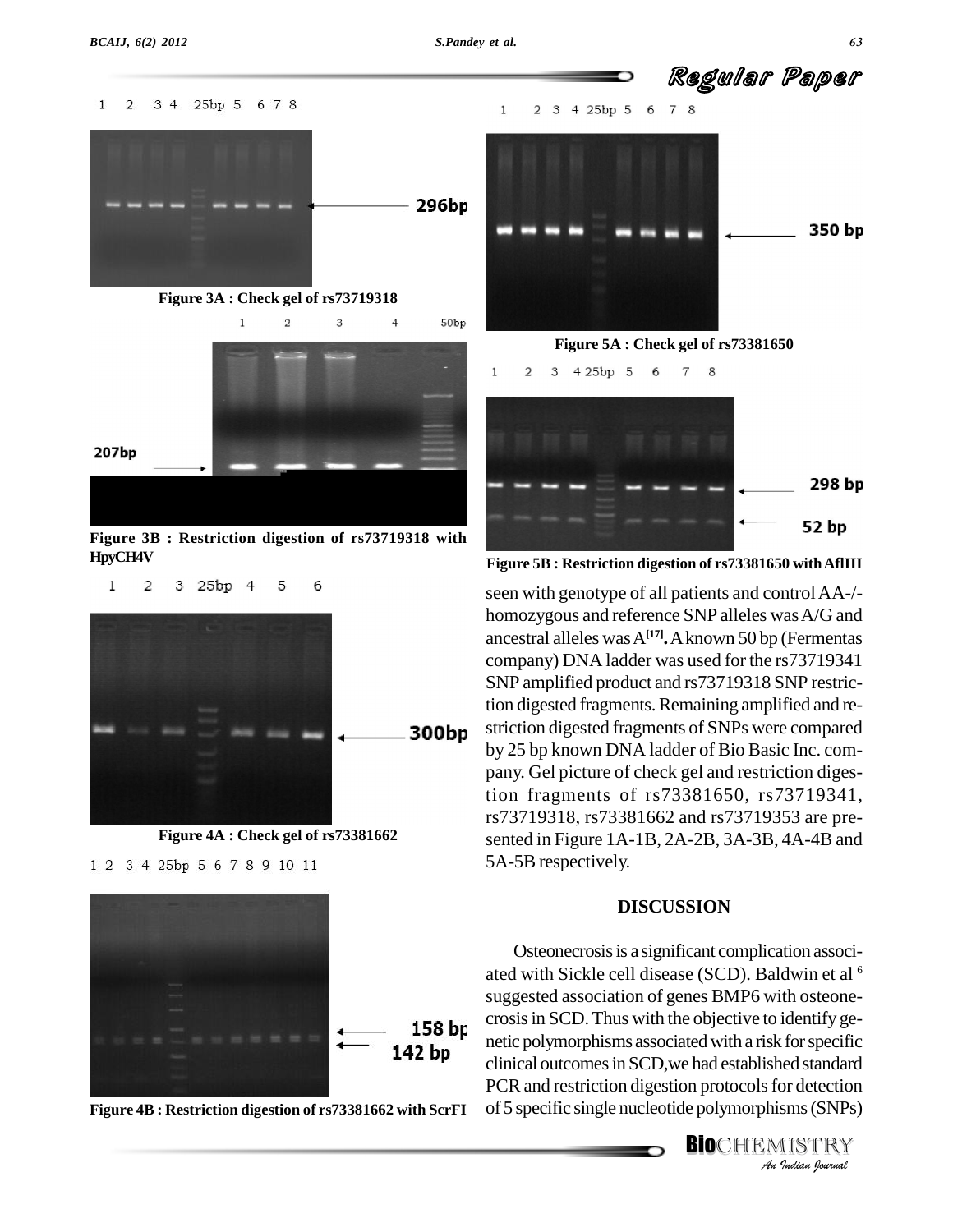$\mathbf 1$ 

 $\overline{2}$ 



Regular Paper



**Figure 3B : Restriction digestion of rs73719318 with HpyCH4V**

5

6

300bp

**Figure 4A : Check gel of rs73381662**

1 2 3 4 25bp 5 6 7 8 9 10 11

3 25bp 4









**Figure 5B : Restriction digestion of rs73381650 withAflIII**

seen with genotype of all patients and controlAA-/ homozygous and reference SNP alleles wasA/G and ancestral alleles wasA**[17].**Aknown 50 bp (Fermentas company) DNA ladder was used for the rs73719341 SNP amplified product and rs73719318 SNP restriction digested fragments.Remaining amplified and re-striction digested fragments of SNPs were compared by 25 bp known DNA ladder of Bio Basic Inc. com pany. Gel picture of check gel and restriction digestion fragments of rs73381650, rs73719341, rs73719318, rs73381662 and rs73719353 are pre sented in Figure 1A-1B, 2A-2B, 3A-3B, 4A-4B and 5A-5B respectively.

#### **DISCUSSION**

**Analytical outcomes in SCD, we had established standard PCR and restriction digestion protocols for detection<br>
of 5 specific single nucleotide polymorphisms (SNPs)<br>
<b>BIO**CHEMISTRY Osteonecrosis is a significant complication associated with Sickle cell disease (SCD). Baldwin et al <sup>6</sup> suggested association of genes BMP6 with osteone crosisin SCD.Thus with the objective to identify ge clinical outcomes in SCD, we had established standard PCR and restriction digestion protocols for detection of 5 specific single nucleotide polymorphisms(SNPs)

# **BIO**CHEMISTRY<br>An Indian Journal